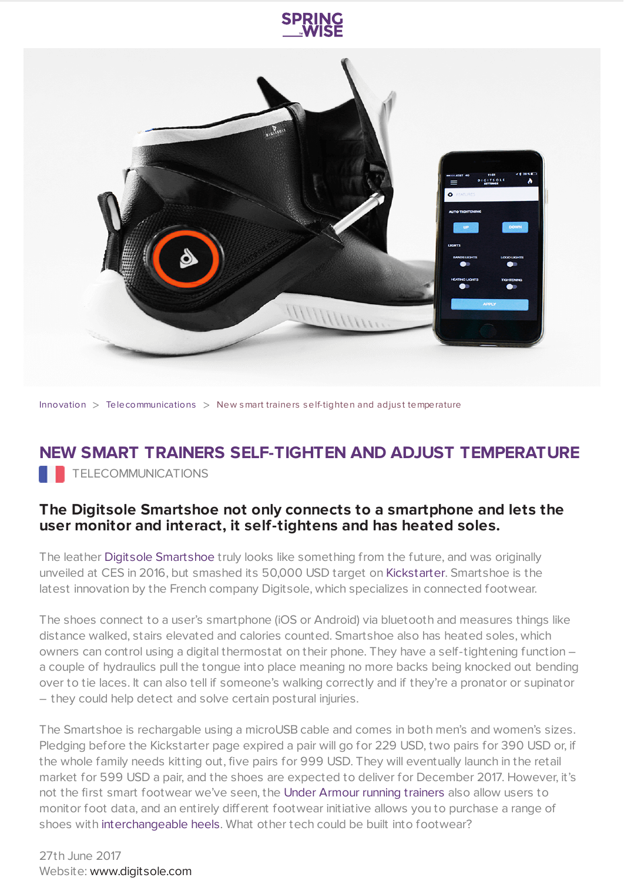



[Innovation](https://www.springwise.com/search?type=innovation)  $>$  [Telecommunications](https://www.springwise.com/search?type=innovation§or=telecoms-tech)  $>$  New smart trainers self-tighten and adjust temperature

## **NEW SMART TRAINERS SELF-TIGHTEN AND ADJUST TEMPERATURE TELECOMMUNICATIONS**

## **The Digitsole Smartshoe not only connects to a smartphone and lets the user monitor and interact, it self-tightens and has heated soles.**

The leather Digitsole [Smartshoe](https://www.digitsole.com/) truly looks like something from the future, and was originally unveiled at CES in 2016, but smashed its 50,000 USD target on [Kickstarter.](https://www.kickstarter.com/projects/141658446/digitsole-smartshoe-the-worlds-first-intelligent-s) Smartshoe is the latest innovation by the French company Digitsole, which specializes in connected footwear.

The shoes connect to a user's smartphone (iOS or Android) via bluetooth and measures things like distance walked, stairs elevated and calories counted. Smartshoe also has heated soles, which owners can control using a digital thermostat on their phone. They have a self-tightening function – a couple of hydraulics pull the tongue into place meaning no more backs being knocked out bending over to tie laces. It can also tell if someone's walking correctly and if they're a pronator or supinator – they could help detect and solve certain postural injuries.

The Smartshoe is rechargable using a microUSB cable and comes in both men's and women's sizes. Pledging before the Kickstarter page expired a pair will go for 229 USD, two pairs for 390 USD or, if the whole family needs kitting out, five pairs for 999 USD. They will eventually launch in the retail market for 599 USD a pair, and the shoes are expected to deliver for December 2017. However, it's not the first smart footwear we've seen, the Under Armour running [trainers](https://www.springwise.com/smart-trainer-helps-runners-avoid-injuries) also allow users to monitor foot data, and an entirely different footwear initiative allows you to purchase a range of shoes with [interchangeable](https://www.springwise.com/new-shoe-range-interchangeable-heels) heels. What other tech could be built into footwear?

27th June 2017 Website: [www.digitsole.com](https://www.digitsole.com/)